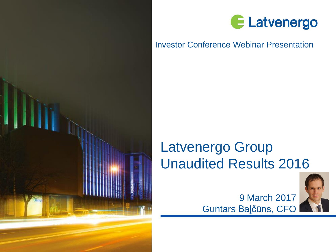



## Investor Conference Webinar Presentation

# Latvenergo Group Unaudited Results 2016



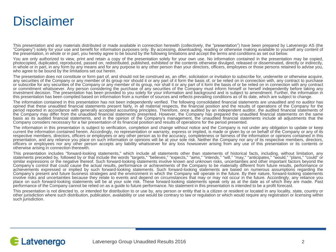## **Disclaimer**

This presentation and any materials distributed or made available in connection herewith (collectively, the "presentation") have been prepared by Latvenergo AS (the "Company") solely for your use and benefit for information purposes only. By accessing, downloading, reading or otherwise making available to yourself any content of the presentation, in whole or in part, you hereby agree to be bound by the following limitations and accept the terms and conditions as set out below.

You are only authorized to view, print and retain a copy of the presentation solely for your own use. No information contained in the presentation may be copied, photocopied, duplicated, reproduced, passed on, redistributed, published, exhibited or the contents otherwise divulged, released or disseminated, directly or indirectly, in whole or in part, in any form by any means and for any purpose to any other person than your directors, officers, employees or those persons retained to advise you, who agree to be bound by the limitations set out herein.

The presentation does not constitute or form part of, and should not be construed as, an offer, solicitation or invitation to subscribe for, underwrite or otherwise acquire, any securities of the Company or any member of its group nor should it or any part of it form the basis of, or be relied on in connection with, any contract to purchase or subscribe for any securities of the Company or any member of its group, nor shall it or any part of it form the basis of or be relied on in connection with any contract or commitment whatsoever. Any person considering the purchase of any securities of the Company must inform himself or herself independently before taking any investment decision. The presentation has been provided to you solely for your information and background and is subject to amendment. Further, the information in this presentation has been compiled based on information from a number of sources and reflects prevailing conditions as of its date, which are subject to change.

The information contained in this presentation has not been independently verified. The following consolidated financial statements are unaudited and no auditor has opined that these unaudited financial statements present fairly, in all material respects, the financial position and the results of operations of the Company for the period reported in accordance with generally accepted accounting principles. Therefore, once audited by an independent auditor, the audited financial statements of the Company may differ from the unaudited financial statements presented. However, the Company has prepared the unaudited financial statements on the same basis as its audited financial statements, and in the opinion of the Company's management, the unaudited financial statements include all adjustments that the Company considers necessary for a fair presentation of its financial position and results of operations for the period presented.

The information in this presentation is subject to verification, completion and change without notice and the Company is not under any obligation to update or keep current the information contained herein. Accordingly, no representation or warranty, express or implied, is made or given by or on behalf of the Company or any of its respective members, directors, officers or employees or any other person as to the accuracy, completeness or fairness of the information or opinions contained in this presentation, and any reliance you place on such information or opinions will be at your sole risk. Neither the Company nor any of its respective members, directors, officers or employees nor any other person accepts any liability whatsoever for any loss howsoever arising from any use of this presentation or its contents or otherwise arising in connection therewith.

This presentation includes "forward-looking statements," which include all statements other than statements of historical facts, including, without limitation, any statements preceded by, followed by or that include the words "targets," "believes," "expects," "aims," "intends," "will," "may," "anticipates," "would," "plans," "could" or similar expressions or the negative thereof. Such forward-looking statements involve known and unknown risks, uncertainties and other important factors beyond the Company's control that could cause the actual results, performance or achievements of the Company to be materially different from future results, performance or achievements expressed or implied by such forward-looking statements. Such forward-looking statements are based on numerous assumptions regarding the Company's present and future business strategies and the environment in which the Company will operate in the future. By their nature, forward-looking statements involve risks and uncertainties because they relate to events and depend on circumstances that may or may not occur in the future. Accordingly, any reliance you place on such forward-looking statements will be at your sole risk. These forward-looking statements speak only as at the date as of which they are made. Past performance of the Company cannot be relied on as a guide to future performance. No statement in this presentation is intended to be a profit forecast.

This presentation is not directed to, or intended for distribution to or use by, any person or entity that is a citizen or resident or located in any locality, state, country or other jurisdiction where such distribution, publication, availability or use would be contrary to law or regulation or which would require any registration or licensing within such jurisdiction.

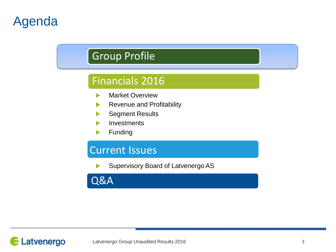# Agenda

## Group Profile

## Financials 2016

- Market Overview ь
- Revenue and Profitability
- Segment Results
- **Investments**
- Funding

## Current Issues

Supervisory Board of Latvenergo AS

Q&A

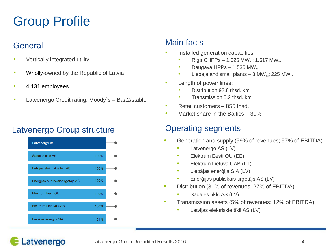# Group Profile

## **General**

- Vertically integrated utility
- Wholly-owned by the Republic of Latvia
- 4,131 employees

Latvenergo

• Latvenergo Credit rating: Moody's - Baa2/stable

## Latvenergo Group structure **Conservation Containst Conservation** Conservation Cataloguents



## Main facts

- Installed generation capacities:
	- Riga CHPPs 1,025 MW<sub>el</sub>; 1,617 MW<sub>th</sub>
	- Daugava HPPs  $1,536$  MW<sub>el</sub>
	- Liepaja and small plants 8 MW<sub>el</sub>; 225 MW<sub>th</sub>
- Length of power lines:
	- Distribution 93.8 thsd. km
	- Transmission 5.2 thsd. km
- Retail customers 855 thsd.
- Market share in the Baltics 30%

- Generation and supply (59% of revenues; 57% of EBITDA)
	- Latvenergo AS (LV)
	- Elektrum Eesti OU (EE)
	- Elektrum Lietuva UAB (LT)
	- Liepājas enerģija SIA (LV)
	- Enerģijas publiskais tirgotājs AS (LV)
- Distribution (31% of revenues; 27% of EBITDA)
	- Sadales tīkls AS (LV)
- Transmission assets (5% of revenues; 12% of EBITDA)
	- Latvijas elektriskie tīkli AS (LV)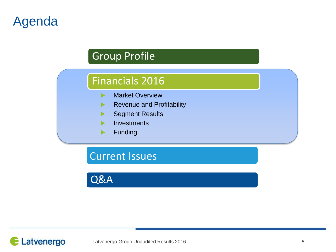# Agenda

## Group Profile

## Financials 2016

- Market Overview ь
- Revenue and Profitability  $\blacktriangleright$
- Segment Results ь
- **Investments**
- Funding ▶

Current Issues

Q&A

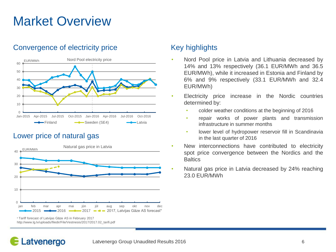# Market Overview

### Convergence of electricity price Key highlights



### Lower price of natural gas



\* Tariff forecast of Latvijas Gāze AS in February 2017 http://www.lg.lv/uploads/filedir/File/Vestnesis/2017/2017.02\_tarifi.pdf

- Nord Pool price in Latvia and Lithuania decreased by 14% and 13% respectively (36.1 EUR/MWh and 36.5 EUR/MWh), while it increased in Estonia and Finland by 6% and 9% respectively (33.1 EUR/MWh and 32.4 EUR/MWh)
- Electricity price increase in the Nordic countries determined by:
	- colder weather conditions at the beginning of 2016
	- repair works of power plants and transmission infrastructure in summer months
	- lower level of hydropower reservoir fill in Scandinavia in the last quarter of 2016
- New interconnections have contributed to electricity spot price convergence between the Nordics and the **Baltics**
- Natural gas price in Latvia decreased by 24% reaching 23.0 EUR/MWh

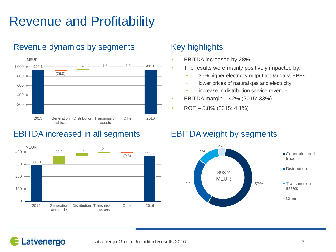# Revenue and Profitability



## Revenue dynamics by segments Key highlights

## EBITDA increased in all segments EBITDA weight by segments



- EBITDA increased by 28%
	- The results were mainly positively impacted by:
		- 36% higher electricity output at Daugava HPPs
		- lower prices of natural gas and electricity
		- increase in distribution service revenue
- EBITDA margin 42% (2015: 33%)
- ROE 5.8% (2015: 4.1%)

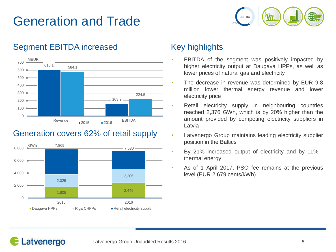# Generation and Trade



## Segment EBITDA increased Key highlights



## Generation covers 62% of retail supply



- EBITDA of the segment was positively impacted by higher electricity output at Daugava HPPs, as well as lower prices of natural gas and electricity
- The decrease in revenue was determined by EUR 9.8 million lower thermal energy revenue and lower electricity price
- Retail electricity supply in neighbouring countries reached 2,376 GWh, which is by 20% higher than the amount provided by competing electricity suppliers in Latvia
- Latvenergo Group maintains leading electricity supplier position in the Baltics
- By 21% increased output of electricity and by 11% thermal energy
- As of 1 April 2017, PSO fee remains at the previous level (EUR 2.679 cents/kWh)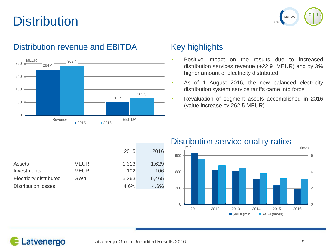# **Distribution**



## Distribution revenue and EBITDA Key highlights



- Positive impact on the results due to increased distribution services revenue (+22.9 MEUR) and by 3% higher amount of electricity distributed
- As of 1 August 2016, the new balanced electricity distribution system service tariffs came into force
- Revaluation of segment assets accomplished in 2016 (value increase by 262.5 MEUR)

|                                |             | 2015  | 2016  |
|--------------------------------|-------------|-------|-------|
| Assets                         | <b>MEUR</b> | 1,313 | 1,629 |
| Investments                    | <b>MEUR</b> | 102   | 106   |
| <b>Electricity distributed</b> | GWh         | 6,263 | 6,465 |
| <b>Distribution losses</b>     |             | 4.6%  | 4.6%  |

### Distribution service quality ratios

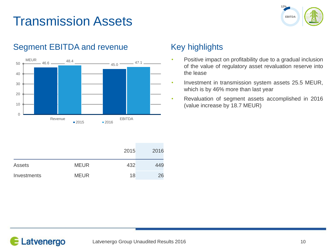# Transmission Assets





## Segment EBITDA and revenue Key highlights

|               |             | 2015 | 2016 |
|---------------|-------------|------|------|
| <b>Assets</b> | <b>MEUR</b> | 432  | 449  |
| Investments   | <b>MEUR</b> | 18   | 26   |

- Positive impact on profitability due to a gradual inclusion of the value of regulatory asset revaluation reserve into the lease
- Investment in transmission system assets 25.5 MEUR, which is by 46% more than last year
- Revaluation of segment assets accomplished in 2016 (value increase by 18.7 MEUR)

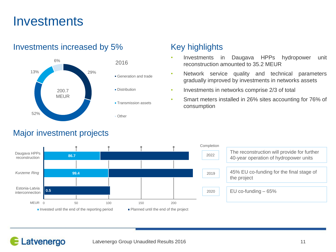## **Investments**



### Investments increased by 5% Key highlights

### Major investment projects

- Investments in Daugava HPPs hydropower unit reconstruction amounted to 35.2 MEUR
- Network service quality and technical parameters gradually improved by investments in networks assets
- Investments in networks comprise 2/3 of total
- Smart meters installed in 26% sites accounting for 76% of consumption



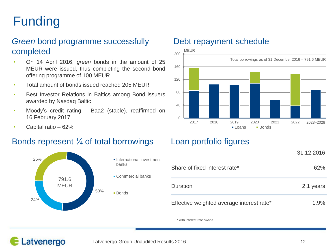# Funding

## *Green* bond programme successfully completed

- On 14 April 2016, *green* bonds in the amount of 25 MEUR were issued, thus completing the second bond offering programme of 100 MEUR
- Total amount of bonds issued reached 205 MEUR
- Best Investor Relations in Baltics among Bond issuers awarded by Nasdaq Baltic
- Moody's credit rating Baa2 (stable), reaffirmed on 16 February 2017
- Capital ratio 62%

### Bonds represent ¼ of total borrowings Loan portfolio figures



### Debt repayment schedule



|                                           | 31.12.2016 |
|-------------------------------------------|------------|
| Share of fixed interest rate*             | 62%        |
| Duration                                  | 2.1 years  |
| Effective weighted average interest rate* | 1.9%       |

\* with interest rate swaps

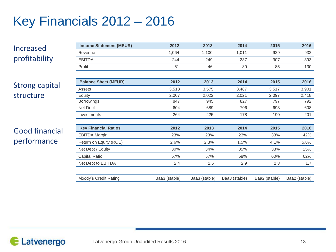# Key Financials 2012 – 2016

Increased profitability

Strong capital structure

## Good financial performance

| <b>Income Statement (MEUR)</b> | 2012          | 2013          | 2014          | 2015          | 2016          |
|--------------------------------|---------------|---------------|---------------|---------------|---------------|
| Revenue                        | 1,064         | 1,100         | 1,011         | 929           | 932           |
| <b>EBITDA</b>                  | 244           | 249           | 237           | 307           | 393           |
| Profit                         | 51            | 46            | 30            | 85            | 130           |
|                                |               |               |               |               |               |
| <b>Balance Sheet (MEUR)</b>    | 2012          | 2013          | 2014          | 2015          | 2016          |
| Assets                         | 3,518         | 3,575         | 3,487         | 3,517         | 3,901         |
| Equity                         | 2,007         | 2,022         | 2,021         | 2,097         | 2,418         |
| <b>Borrowings</b>              | 847           | 945           | 827           | 797           | 792           |
| Net Debt                       | 604           | 689           | 706           | 693           | 608           |
| Investments                    | 264           | 225           | 178           | 190           | 201           |
|                                |               |               |               |               |               |
| <b>Key Financial Ratios</b>    | 2012          | 2013          | 2014          | 2015          | 2016          |
| <b>EBITDA Margin</b>           | 23%           | 23%           | 23%           | 33%           | 42%           |
| Return on Equity (ROE)         | 2.6%          | 2.3%          | 1.5%          | 4.1%          | 5.8%          |
| Net Debt / Equity              | 30%           | 34%           | 35%           | 33%           | 25%           |
| Capital Ratio                  | 57%           | 57%           | 58%           | 60%           | 62%           |
| Net Debt to EBITDA             | 2.4           | 2.6           | 2.9           | 2.3           | 1.7           |
|                                |               |               |               |               |               |
| Moody's Credit Rating          | Baa3 (stable) | Baa3 (stable) | Baa3 (stable) | Baa2 (stable) | Baa2 (stable) |

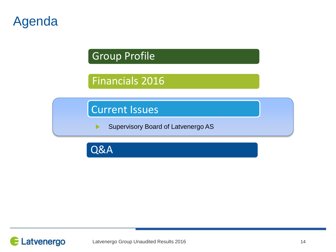# Agenda

Group Profile

## Financials 2016

Current Issues

Supervisory Board of Latvenergo AS ▶

Q&A

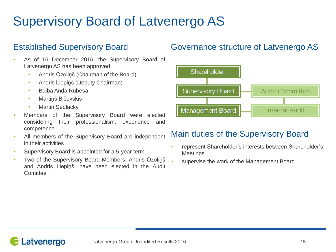# Supervisory Board of Latvenergo AS

- As of 16 December 2016, the Supervisory Board of Latvenergo AS has been approved:
	- Andris Ozoliņš (Chairman of the Board)
	- Andris Liepiņš (Deputy Chairman)
	- Baiba Anda Rubesa
	- Mārtiņš Bičevskis
	- Martin Sedlacky
- Members of the Supervisory Board were elected considering their professionalism, experience and competence
- All members of the Supervisory Board are independent in their activities
- Supervisory Board is appointed for a 5-year term
- Two of the Supervisory Board Members, Andris Ozoliņš and Andris Liepiņš, have been elected in the Audit **Comittee**

## Established Supervisory Board Governance structure of Latvenergo AS



## Main duties of the Supervisory Board

- represent Shareholder's interests between Shareholder's Meetings
	- supervise the work of the Management Board

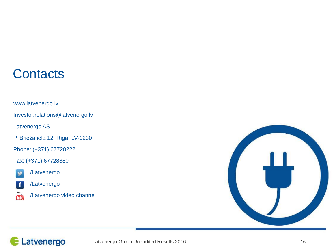## **Contacts**

www.latvenergo.lv

Investor.relations@latvenergo.lv

Latvenergo AS

P. Brieža iela 12, Rīga, LV-1230

Phone: (+371) 67728222

Fax: (+371) 67728880



/Latvenergo



/Latvenergo



/Latvenergo video channel

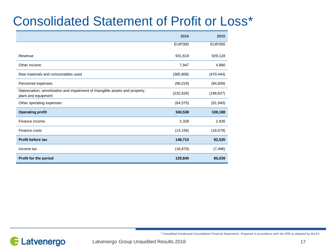# Consolidated Statement of Profit or Loss\*

|                                                                                                     | 2016           | 2015           |
|-----------------------------------------------------------------------------------------------------|----------------|----------------|
|                                                                                                     | <b>EUR'000</b> | <b>EUR'000</b> |
| Revenue                                                                                             | 931,619        | 929,128        |
| Other income                                                                                        | 7,947          | 4,880          |
| Raw materials and consumables used                                                                  | (385, 808)     | (470, 444)     |
| Personnel expenses                                                                                  | (96, 019)      | (94, 609)      |
| Depreciation, amortisation and impairment of intangible assets and property,<br>plant and equipment | (232, 626)     | (198, 827)     |
| Other operating expenses                                                                            | (64, 575)      | (61, 940)      |
| <b>Operating profit</b>                                                                             | 160,538        | 108,188        |
| Finance income                                                                                      | 2,328          | 2,926          |
| Finance costs                                                                                       | (14, 156)      | (18, 579)      |
| <b>Profit before tax</b>                                                                            | 148,710        | 92,535         |
| Income tax                                                                                          | (18, 870)      | (7, 496)       |
| Profit for the period                                                                               | 129,840        | 85,039         |



\* Unaudited Condensed Consolidated Financial Statements. Prepared in accordance with the IFRS as adopted by the EU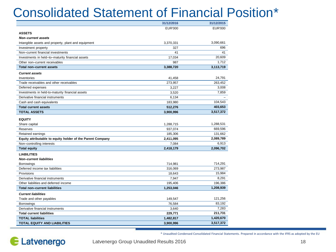# Consolidated Statement of Financial Position\*

|                                                            | 31/12/2016 | 31/12/2015 |
|------------------------------------------------------------|------------|------------|
|                                                            | EUR'000    | EUR'000    |
| <b>ASSETS</b>                                              |            |            |
| Non-current assets                                         |            |            |
| Intangible assets and property, plant and equipment        | 3,370,331  | 3,090,661  |
| Investment property                                        | 327        | 696        |
| Non-current financial investments                          | 41         | 41         |
| Investments in held-to-maturity financial assets           | 17,034     | 20,609     |
| Other non-current receivables                              | 987        | 1,712      |
| <b>Total non-current assets</b>                            | 3,388,720  | 3,113,719  |
| <b>Current assets</b>                                      |            |            |
| Inventories                                                | 41,458     | 24,791     |
| Trade receivables and other receivables                    | 273,957    | 263,452    |
| Deferred expenses                                          | 3,227      | 3,008      |
| Investments in held-to-maturity financial assets           | 3,520      | 7,859      |
| Derivative financial instruments                           | 6,134      |            |
| Cash and cash equivalents                                  | 183,980    | 104,543    |
| <b>Total current assets</b>                                | 512,276    | 403,653    |
| <b>TOTAL ASSETS</b>                                        | 3,900,996  | 3,517,372  |
|                                                            |            |            |
| <b>EQUITY</b>                                              |            |            |
| Share capital                                              | 1,288,715  | 1,288,531  |
| Reserves                                                   | 937,074    | 669,596    |
| Retained earnings                                          | 185,306    | 131,662    |
| Equity attributable to equity holder of the Parent Company | 2,411,095  | 2,089,789  |
| Non-controlling interests                                  | 7,084      | 6,913      |
| <b>Total equity</b>                                        | 2,418,179  | 2,096,702  |
| <b>LIABILITIES</b>                                         |            |            |
| Non-current liabilities                                    |            |            |
| <b>Borrowings</b>                                          | 714,981    | 714,291    |
| Deferred income tax liabilities                            | 316,069    | 273,987    |
| Provisions                                                 | 18,643     | 15,984     |
| Derivative financial instruments                           | 7,947      | 8,291      |
| Other liabilities and deferred income                      | 195,406    | 196,386    |
| Total non-current liabilities                              | 1,253,046  | 1,208,939  |
| <b>Current liabilities</b>                                 |            |            |
| Trade and other payables                                   | 149,547    | 121,256    |
| <b>Borrowings</b>                                          | 76,584     | 83,192     |
| Derivative financial instruments                           | 3,640      | 7,283      |
| <b>Total current liabilities</b>                           | 229,771    | 211,731    |
| <b>TOTAL liabilities</b>                                   | 1,482,817  | 1,420,670  |
| <b>TOTAL EQUITY AND LIABILITIES</b>                        | 3,900,996  | 3,517,372  |

\* Unaudited Condensed Consolidated Financial Statements. Prepared in accordance with the IFRS as adopted by the EU